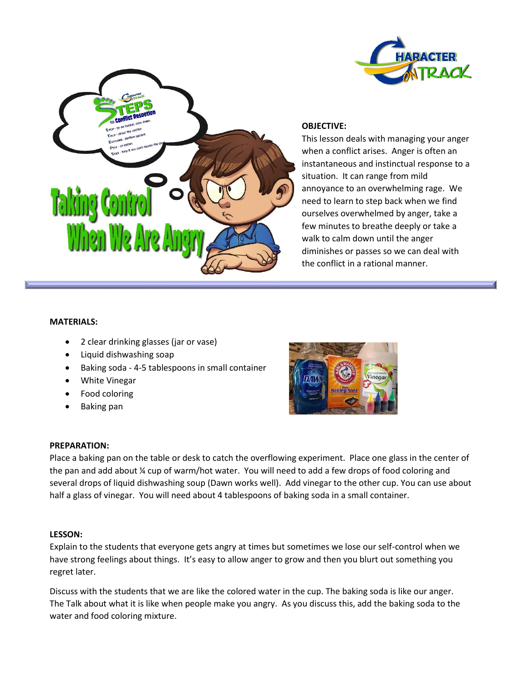



## **OBJECTIVE:**

This lesson deals with managing your anger when a conflict arises. Anger is often an instantaneous and instinctual response to a situation. It can range from mild annoyance to an overwhelming rage. We need to learn to step back when we find ourselves overwhelmed by anger, take a few minutes to breathe deeply or take a walk to calm down until the anger diminishes or passes so we can deal with the conflict in a rational manner.

#### **MATERIALS:**

- 2 clear drinking glasses (jar or vase)
- Liquid dishwashing soap
- Baking soda 4-5 tablespoons in small container
- White Vinegar
- Food coloring
- Baking pan



#### **PREPARATION:**

Place a baking pan on the table or desk to catch the overflowing experiment. Place one glass in the center of the pan and add about ¼ cup of warm/hot water. You will need to add a few drops of food coloring and several drops of liquid dishwashing soup (Dawn works well). Add vinegar to the other cup. You can use about half a glass of vinegar. You will need about 4 tablespoons of baking soda in a small container.

#### **LESSON:**

Explain to the students that everyone gets angry at times but sometimes we lose our self-control when we have strong feelings about things. It's easy to allow anger to grow and then you blurt out something you regret later.

Discuss with the students that we are like the colored water in the cup. The baking soda is like our anger. The Talk about what it is like when people make you angry. As you discuss this, add the baking soda to the water and food coloring mixture.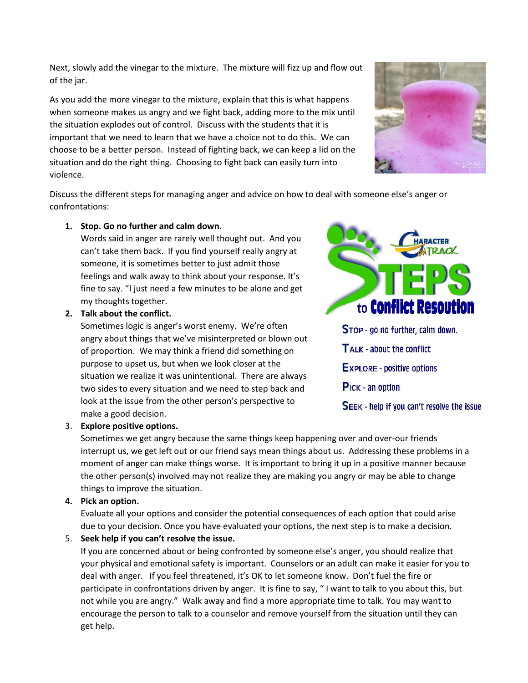Next, slowly add the vinegar to the mixture. The mixture will fizz up and flow out of the jar.

As you add the more vinegar to the mixture, explain that this is what happens when someone makes us angry and we fight back, adding more to the mix until the situation explodes out of control. Discuss with the students that it is important that we need to learn that we have a choice not to do this. We can choose to be a better person. Instead of fighting back, we can keep a lid on the situation and do the right thing. Choosing to fight back can easily turn into violence.



Discuss the different steps for managing anger and advice on how to deal with someone else's anger or confrontations:

## **1. Stop. Go no further and calm down.**

Words said in anger are rarely well thought out. And you can't take them back. If you find yourself really angry at someone, it is sometimes better to just admit those feelings and walk away to think about your response. It's fine to say. "I just need a few minutes to be alone and get my thoughts together.

## **2. Talk about the conflict.**

Sometimes logic is anger's worst enemy. We're often angry about things that we've misinterpreted or blown out of proportion. We may think a friend did something on purpose to upset us, but when we look closer at the situation we realize it was unintentional. There are always two sides to every situation and we need to step back and look at the issue from the other person's perspective to make a good decision.



# 3. **Explore positive options.**

Sometimes we get angry because the same things keep happening over and over-our friends interrupt us, we get left out or our friend says mean things about us. Addressing these problems in a moment of anger can make things worse. It is important to bring it up in a positive manner because the other person(s) involved may not realize they are making you angry or may be able to change things to improve the situation.

## **4. Pick an option.**

Evaluate all your options and consider the potential consequences of each option that could arise due to your decision. Once you have evaluated your options, the next step is to make a decision.

# 5. **Seek help if you can't resolve the issue.**

If you are concerned about or being confronted by someone else's anger, you should realize that your physical and emotional safety is important. Counselors or an adult can make it easier for you to deal with anger. If you feel threatened, it's OK to let someone know. Don't fuel the fire or participate in confrontations driven by anger. It is fine to say, " I want to talk to you about this, but not while you are angry." Walk away and find a more appropriate time to talk. You may want to encourage the person to talk to a counselor and remove yourself from the situation until they can get help.